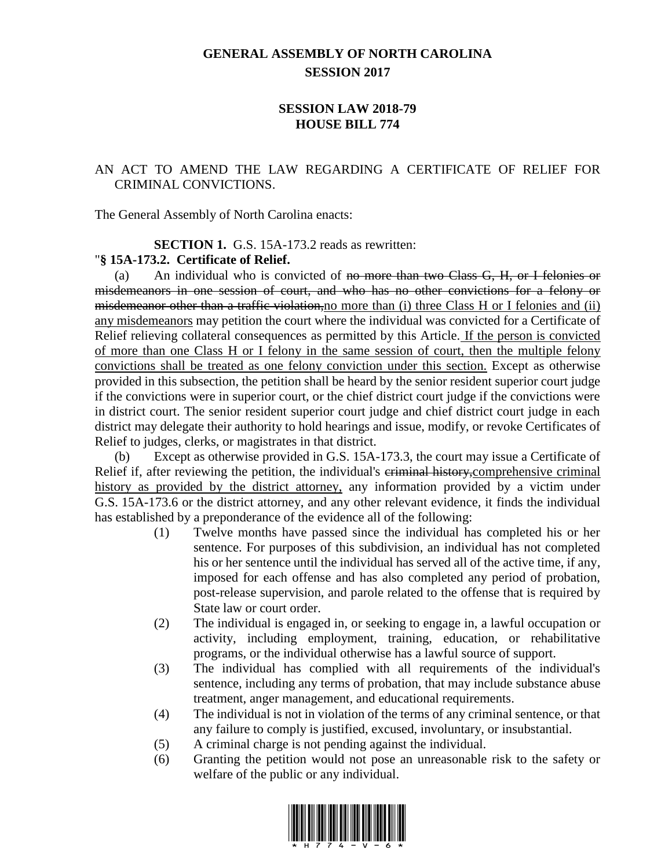# **GENERAL ASSEMBLY OF NORTH CAROLINA SESSION 2017**

### **SESSION LAW 2018-79 HOUSE BILL 774**

## AN ACT TO AMEND THE LAW REGARDING A CERTIFICATE OF RELIEF FOR CRIMINAL CONVICTIONS.

The General Assembly of North Carolina enacts:

#### **SECTION 1.** G.S. 15A-173.2 reads as rewritten:

### "**§ 15A-173.2. Certificate of Relief.**

(a) An individual who is convicted of no more than two Class G, H, or I felonies or misdemeanors in one session of court, and who has no other convictions for a felony or misdemeanor other than a traffic violation,no more than (i) three Class H or I felonies and (ii) any misdemeanors may petition the court where the individual was convicted for a Certificate of Relief relieving collateral consequences as permitted by this Article. If the person is convicted of more than one Class H or I felony in the same session of court, then the multiple felony convictions shall be treated as one felony conviction under this section. Except as otherwise provided in this subsection, the petition shall be heard by the senior resident superior court judge if the convictions were in superior court, or the chief district court judge if the convictions were in district court. The senior resident superior court judge and chief district court judge in each district may delegate their authority to hold hearings and issue, modify, or revoke Certificates of Relief to judges, clerks, or magistrates in that district.

(b) Except as otherwise provided in G.S. 15A-173.3, the court may issue a Certificate of Relief if, after reviewing the petition, the individual's eriminal history, comprehensive criminal history as provided by the district attorney, any information provided by a victim under G.S. 15A-173.6 or the district attorney, and any other relevant evidence, it finds the individual has established by a preponderance of the evidence all of the following:

- (1) Twelve months have passed since the individual has completed his or her sentence. For purposes of this subdivision, an individual has not completed his or her sentence until the individual has served all of the active time, if any, imposed for each offense and has also completed any period of probation, post-release supervision, and parole related to the offense that is required by State law or court order.
- (2) The individual is engaged in, or seeking to engage in, a lawful occupation or activity, including employment, training, education, or rehabilitative programs, or the individual otherwise has a lawful source of support.
- (3) The individual has complied with all requirements of the individual's sentence, including any terms of probation, that may include substance abuse treatment, anger management, and educational requirements.
- (4) The individual is not in violation of the terms of any criminal sentence, or that any failure to comply is justified, excused, involuntary, or insubstantial.
- (5) A criminal charge is not pending against the individual.
- (6) Granting the petition would not pose an unreasonable risk to the safety or welfare of the public or any individual.

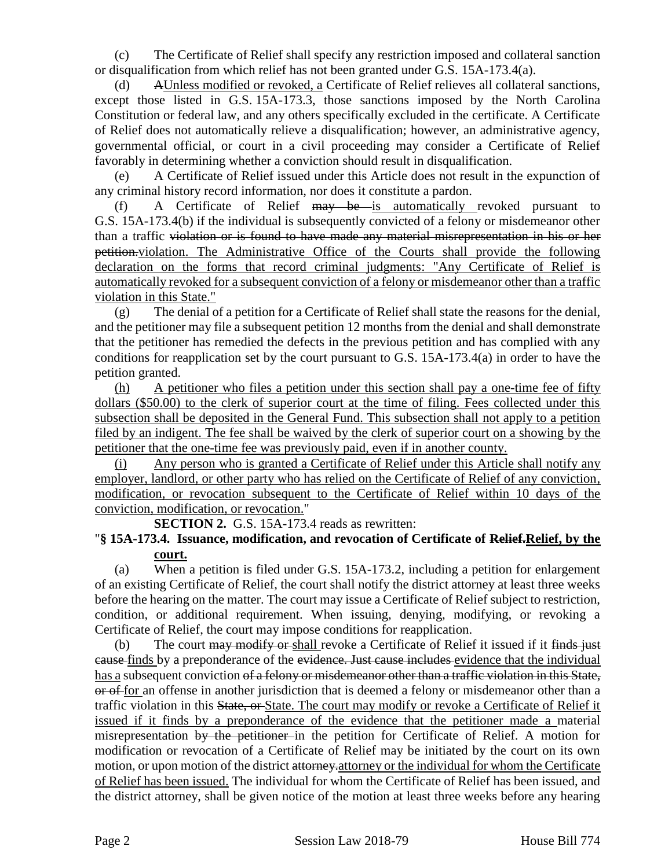(c) The Certificate of Relief shall specify any restriction imposed and collateral sanction or disqualification from which relief has not been granted under G.S. 15A-173.4(a).

AUnless modified or revoked, a Certificate of Relief relieves all collateral sanctions, except those listed in G.S. 15A-173.3, those sanctions imposed by the North Carolina Constitution or federal law, and any others specifically excluded in the certificate. A Certificate of Relief does not automatically relieve a disqualification; however, an administrative agency, governmental official, or court in a civil proceeding may consider a Certificate of Relief favorably in determining whether a conviction should result in disqualification.

(e) A Certificate of Relief issued under this Article does not result in the expunction of any criminal history record information, nor does it constitute a pardon.

(f) A Certificate of Relief may be is automatically revoked pursuant to G.S. 15A-173.4(b) if the individual is subsequently convicted of a felony or misdemeanor other than a traffic violation or is found to have made any material misrepresentation in his or her petition.violation. The Administrative Office of the Courts shall provide the following declaration on the forms that record criminal judgments: "Any Certificate of Relief is automatically revoked for a subsequent conviction of a felony or misdemeanor other than a traffic violation in this State."

(g) The denial of a petition for a Certificate of Relief shall state the reasons for the denial, and the petitioner may file a subsequent petition 12 months from the denial and shall demonstrate that the petitioner has remedied the defects in the previous petition and has complied with any conditions for reapplication set by the court pursuant to G.S. 15A-173.4(a) in order to have the petition granted.

(h) A petitioner who files a petition under this section shall pay a one-time fee of fifty dollars (\$50.00) to the clerk of superior court at the time of filing. Fees collected under this subsection shall be deposited in the General Fund. This subsection shall not apply to a petition filed by an indigent. The fee shall be waived by the clerk of superior court on a showing by the petitioner that the one-time fee was previously paid, even if in another county.

(i) Any person who is granted a Certificate of Relief under this Article shall notify any employer, landlord, or other party who has relied on the Certificate of Relief of any conviction, modification, or revocation subsequent to the Certificate of Relief within 10 days of the conviction, modification, or revocation."

**SECTION 2.** G.S. 15A-173.4 reads as rewritten:

## "**§ 15A-173.4. Issuance, modification, and revocation of Certificate of Relief.Relief, by the court.**

(a) When a petition is filed under G.S. 15A-173.2, including a petition for enlargement of an existing Certificate of Relief, the court shall notify the district attorney at least three weeks before the hearing on the matter. The court may issue a Certificate of Relief subject to restriction, condition, or additional requirement. When issuing, denying, modifying, or revoking a Certificate of Relief, the court may impose conditions for reapplication.

(b) The court may modify or shall revoke a Certificate of Relief it issued if it finds just cause finds by a preponderance of the evidence. Just cause includes evidence that the individual has a subsequent conviction of a felony or misdemeanor other than a traffic violation in this State, or of for an offense in another jurisdiction that is deemed a felony or misdemeanor other than a traffic violation in this State, or State. The court may modify or revoke a Certificate of Relief it issued if it finds by a preponderance of the evidence that the petitioner made a material misrepresentation by the petitioner in the petition for Certificate of Relief. A motion for modification or revocation of a Certificate of Relief may be initiated by the court on its own motion, or upon motion of the district attorney attorney or the individual for whom the Certificate of Relief has been issued. The individual for whom the Certificate of Relief has been issued, and the district attorney, shall be given notice of the motion at least three weeks before any hearing